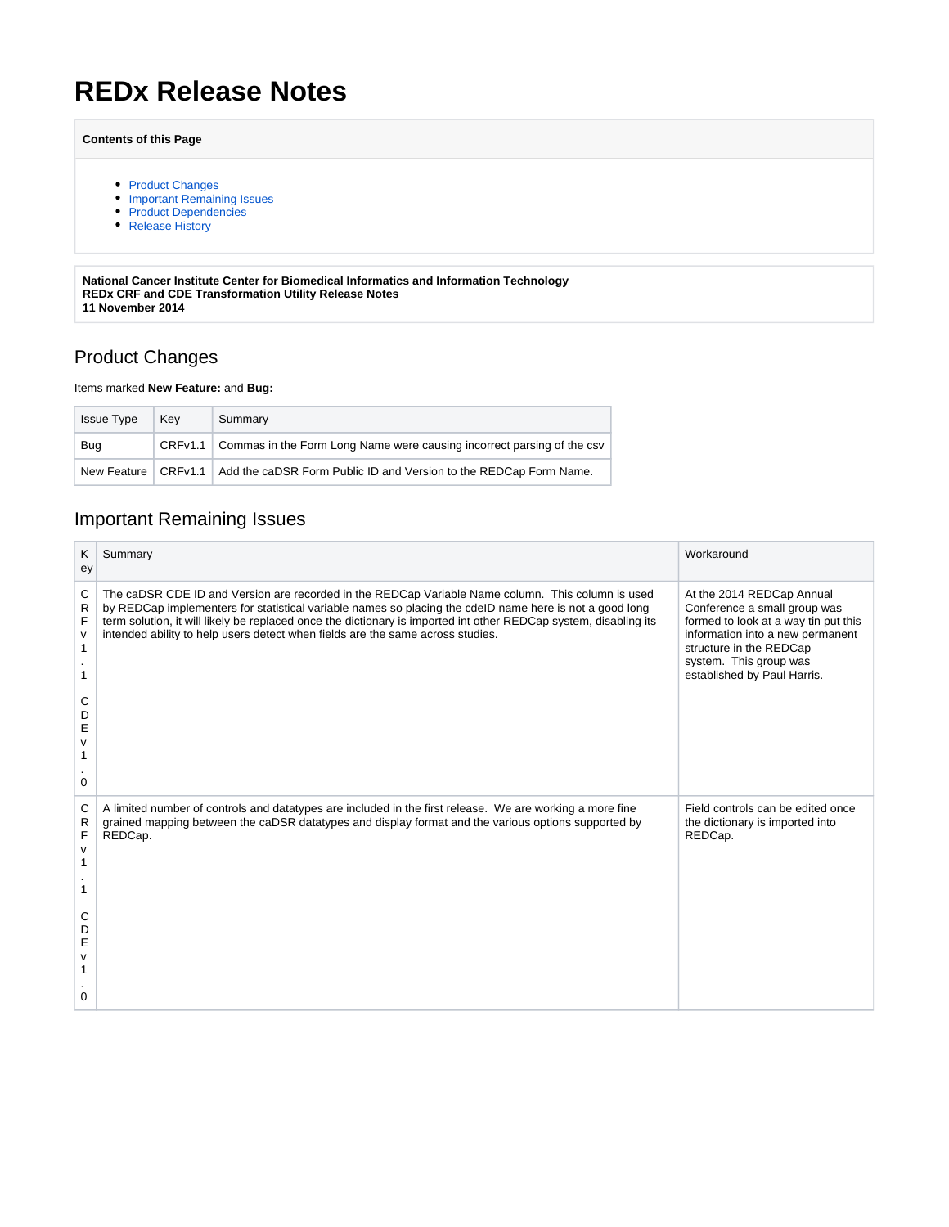# **REDx Release Notes**

#### **Contents of this Page**

- [Product Changes](#page-0-0)
- [Important Remaining Issues](#page-0-1)
- [Product Dependencies](#page-1-0)
- [Release History](#page-1-1)

**National Cancer Institute Center for Biomedical Informatics and Information Technology REDx CRF and CDE Transformation Utility Release Notes 11 November 2014**

### <span id="page-0-0"></span>Product Changes

#### Items marked **New Feature:** and **Bug:**

| <b>Issue Type</b> | Kev | Summary                                                                                   |
|-------------------|-----|-------------------------------------------------------------------------------------------|
| <b>Bug</b>        |     | CRFv1.1 Commas in the Form Long Name were causing incorrect parsing of the csv            |
|                   |     | New Feature   CRFv1.1   Add the caDSR Form Public ID and Version to the REDCap Form Name. |

### <span id="page-0-1"></span>Important Remaining Issues

| Κ<br>ey                         | Summary                                                                                                                                                                                                                                                                                                                                                                                                            | Workaround                                                                                                                                                                                                                |
|---------------------------------|--------------------------------------------------------------------------------------------------------------------------------------------------------------------------------------------------------------------------------------------------------------------------------------------------------------------------------------------------------------------------------------------------------------------|---------------------------------------------------------------------------------------------------------------------------------------------------------------------------------------------------------------------------|
| C<br>R<br>F<br>v<br>1<br>С<br>D | The caDSR CDE ID and Version are recorded in the REDCap Variable Name column. This column is used<br>by REDCap implementers for statistical variable names so placing the cdeID name here is not a good long<br>term solution, it will likely be replaced once the dictionary is imported int other REDCap system, disabling its<br>intended ability to help users detect when fields are the same across studies. | At the 2014 REDCap Annual<br>Conference a small group was<br>formed to look at a way tin put this<br>information into a new permanent<br>structure in the REDCap<br>system. This group was<br>established by Paul Harris. |
| E<br>ν<br>0                     |                                                                                                                                                                                                                                                                                                                                                                                                                    |                                                                                                                                                                                                                           |
| C<br>R<br>F<br>v<br>1<br>1      | A limited number of controls and datatypes are included in the first release. We are working a more fine<br>grained mapping between the caDSR datatypes and display format and the various options supported by<br>REDCap.                                                                                                                                                                                         | Field controls can be edited once<br>the dictionary is imported into<br>REDCap.                                                                                                                                           |
| С<br>D<br>E<br>v<br>1<br>0      |                                                                                                                                                                                                                                                                                                                                                                                                                    |                                                                                                                                                                                                                           |